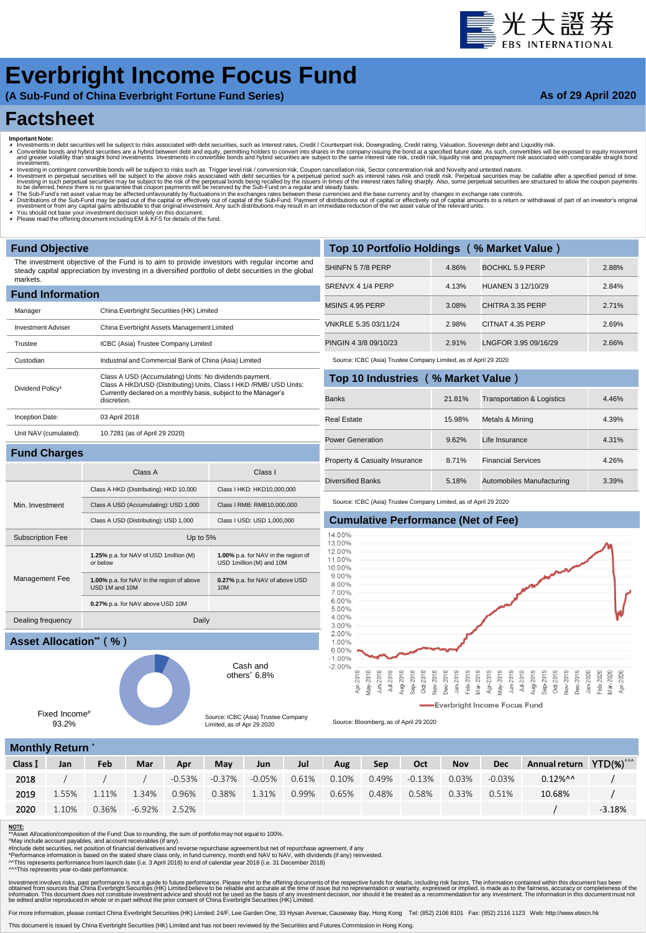# **量光大**證券

## **Everbright Income Focus Fund**

**(A Sub-Fund of China Everbright Fortune Fund Series)**

#### **As of 29 April 2020**

### **Factsheet**

- 
- Important Note:<br>▲ Investments in debt securities will be subject to risks associated with debt securities, such as Interest rates, Credit / Counterpart risk, Downgrading, Credit rating, Valuation, Sovereign debt and Equid westing in contingent convertible bonds will be subject to risks such as Trigger level risk / conversion risk. Coupon cancellation risk, Sector concentration risk and Novelty and untested nature.
- Investment in perpetual securities will be subject to the above risks associated with debt securities for a perpetual period such as interest rates risk and credit risk. Perpetual securities may be callable after a specifi
- 

**1.00%** p.a. for NAV in the region of USD 1million (M) and 10M

**0.27%** p.a. for NAV of above USD

Cash and others^ 6.8%

Source: ICBC (Asia) Trustee Company Limited, as of Apr 29 2020

10M

- A The Sub-Fund's net asset value may be affected unfavourably by fluctuations in the exchanges rates between these currencies and the base currency and by changes in exchange rate controls.<br>A Distributions of the Sub-Fund
- ◢ You should not base your investment decision solely on this document. ◢ Please read the offering document including EM & KFS for details of the fund.

Subscription Fee Up to 5%

USD 1M and 10M

Dealing frequency Daily

**1.25%** p.a. for NAV of USD 1million (M) or below

**1.00%** p.a. for NAV in the region of above

**0.27%** p.a. for NAV above USD 10M

#### **Fund Objective**

**Fund Charges**

Min. Investment

Management Fee

The investment objective of the Fund is to aim to provide investors with regular income and steady capital appreciation by investing in a diversified portfolio of debt securities in the global markets.

| <b>Fund Information</b>      |                                                                                                                                                                                                                 |  |  |  |  |  |  |  |  |
|------------------------------|-----------------------------------------------------------------------------------------------------------------------------------------------------------------------------------------------------------------|--|--|--|--|--|--|--|--|
| Manager                      | China Everbright Securities (HK) Limited                                                                                                                                                                        |  |  |  |  |  |  |  |  |
| <b>Investment Adviser</b>    | China Everbright Assets Management Limited                                                                                                                                                                      |  |  |  |  |  |  |  |  |
| Trustee                      | ICBC (Asia) Trustee Company Limited                                                                                                                                                                             |  |  |  |  |  |  |  |  |
| Custodian                    | Industrial and Commercial Bank of China (Asia) Limited                                                                                                                                                          |  |  |  |  |  |  |  |  |
| Dividend Policy <sup>1</sup> | Class A USD (Accumulating) Units: No dividends payment.<br>Class A HKD/USD (Distributing) Units, Class I HKD /RMB/ USD Units:<br>Currently declared on a monthly basis, subject to the Manager's<br>discretion. |  |  |  |  |  |  |  |  |
| Inception Date:              | 03 April 2018                                                                                                                                                                                                   |  |  |  |  |  |  |  |  |
| Unit NAV (cumulated):        | 10.7281 (as of April 29 2020)                                                                                                                                                                                   |  |  |  |  |  |  |  |  |
|                              |                                                                                                                                                                                                                 |  |  |  |  |  |  |  |  |

Class A Class I

Class A HKD (Distributing): HKD 10,000 Class I HKD: HKD10,000,000 Class A USD (Accumulating): USD 1,000 Class I RMB: RMB10,000,000 Class A USD (Distributing): USD 1,000 Class I USD: USD 1,000,000

| Top 10 Portfolio Holdings (% Market Value) |       |                      |       |  |  |  |  |  |  |  |
|--------------------------------------------|-------|----------------------|-------|--|--|--|--|--|--|--|
| SHINFN 57/8 PERP                           | 4.86% | BOCHKL 5.9 PERP      | 2.88% |  |  |  |  |  |  |  |
| SRENVX 4 1/4 PERP                          | 4.13% | HUANEN 3 12/10/29    | 2.84% |  |  |  |  |  |  |  |
| MSINS 4.95 PERP                            | 3.08% | CHITRA 3.35 PERP     | 2.71% |  |  |  |  |  |  |  |
| VNKRLE 5.35 03/11/24                       | 2.98% | CITNAT 4.35 PERP     | 2.69% |  |  |  |  |  |  |  |
| PINGIN 4 3/8 09/10/23                      | 2.91% | LNGFOR 3.95 09/16/29 | 2.66% |  |  |  |  |  |  |  |

Source: ICBC (Asia) Trustee Company Limited, as of April 29 2020

| Top 10 Industries (% Market Value) |        |                                       |       |
|------------------------------------|--------|---------------------------------------|-------|
| <b>Banks</b>                       | 21.81% | <b>Transportation &amp; Logistics</b> | 4.46% |
| Real Estate                        | 15.98% | Metals & Mining                       | 4.39% |
| <b>Power Generation</b>            | 9.62%  | Life Insurance                        | 4.31% |
| Property & Casualty Insurance      | 8.71%  | <b>Financial Services</b>             | 4.26% |
| <b>Diversified Banks</b>           | 5.18%  | Automobiles Manufacturing             | 3.39% |

Source: ICBC (Asia) Trustee Company Limited, as of April 29 2020

#### **Cumulative Performance (Net of Fee)**



Source: Bloomberg, as of April 29 2020

|  |  |  |  | <b>Monthly Return</b> |  |
|--|--|--|--|-----------------------|--|
|  |  |  |  |                       |  |

Fixed Income# 93.2%

**Asset Allocation\*\*(%)**

|         | <b>INDITION NEWITH</b> |            |              |       |       |                      |       |       |                    |       |            |            |                                     |          |
|---------|------------------------|------------|--------------|-------|-------|----------------------|-------|-------|--------------------|-------|------------|------------|-------------------------------------|----------|
| Class I | Jan                    | Feb        | Mar          | Apr   | May   | <b>Jun</b>           | Jul   | Aug   | Sep                | Oct   | <b>Nov</b> | <b>Dec</b> | Annual return YTD(%) <sup>^^^</sup> |          |
| 2018    |                        | $\sqrt{2}$ |              |       |       | -0.53% -0.37% -0.05% | 0.61% | 0.10% | $0.49\%$ $-0.13\%$ |       | 0.03%      | $-0.03\%$  | $0.12\%$ ^^                         |          |
| 2019    | 1.55%                  | 1.11%      | 1.34%        | 0.96% | 0.38% | 1.31%                | 0.99% | 0.65% | 0.48%              | 0.58% | 0.33%      | 0.51%      | 10.68%                              |          |
| 2020    | 1.10%                  | 0.36%      | -6.92% 2.52% |       |       |                      |       |       |                    |       |            |            |                                     | $-3.18%$ |

#### NOTE:

 $\overline{\phantom{a}}$  Asset Allocation/composition of the Fund: Due to rounding, the sum of portfolio may not equal to 100%.

^May include account payables, and account receivables (if any).<br>#Include debt securities, net position of financial derivatives and reverse repurchase agreement but net of repurchase agreement, if any<br>\*Performance informa

^^This represents performance from launch date (i.e. 3 April 2018) to end of calendar year 2018 (i.e. 31 December 2018)

^^^This represents year-to-date performance.

Investment involves riss, past performance is not a guide to future performance. Please refer to the offering documents of the respective to be reliable and accurate at the time of issue but no representation or warranty,

For more information, please contact China Everbright Securities (HK) Limited: 24/F, Lee Garden One, 33 Hysan Avenue, Causeway Bay, Hong Kong Tel: (852) 2106 8101 Fax: (852) 2116 1123 Web: http://www.ebscn.hk

This document is issued by China Everbright Securities (HK) Limited and has not been reviewed by the Securities and Futures Commission in Hong Kong.